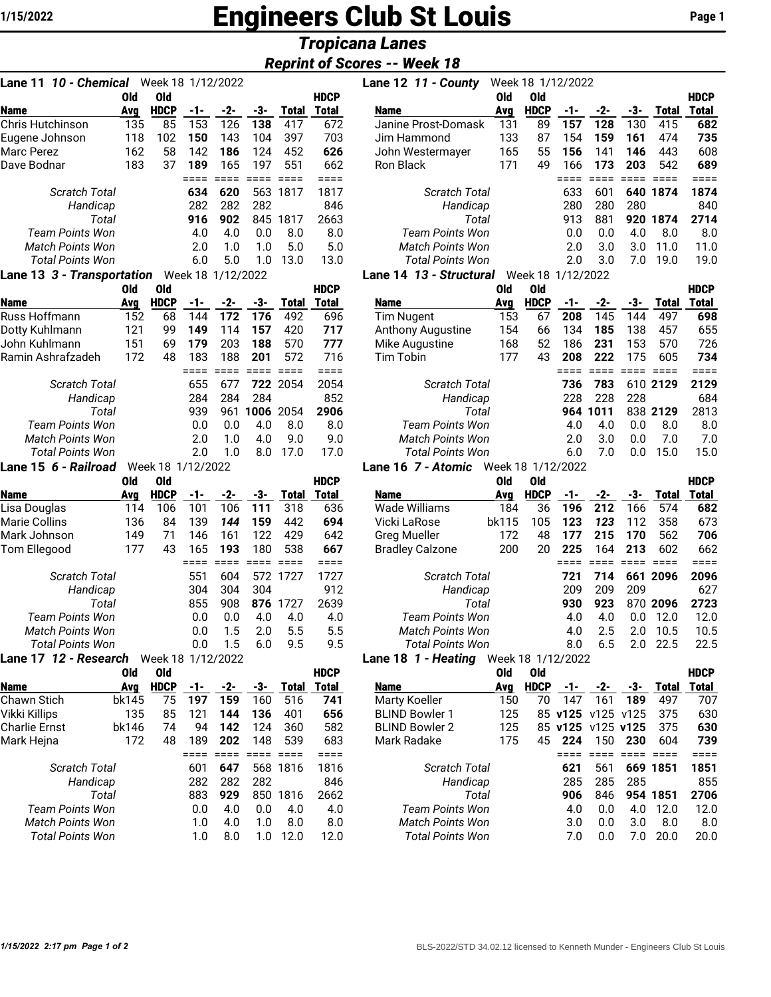# **1/15/2022 Engineers Club St Louis** Page 1

# *Tropicana Lanes*

# *Reprint of Scores -- Week 18*

| Old<br><b>Old</b><br><b>HDCP</b><br><b>HDCP</b><br><b>Name</b><br>-1-<br>$-2-$<br>-3-<br><b>Total</b><br><b>Total</b><br><b>Avg</b><br>153<br>126<br>138<br>135<br>85<br>417<br>Chris Hutchinson<br>672<br>102<br>150<br>143<br>104<br>397<br>703<br>Eugene Johnson<br>118<br>162<br>Marc Perez<br>58<br>142<br>186<br>124<br>452<br>626<br>Dave Bodnar<br>183<br>37<br>189<br>165<br>197<br>551<br>662<br>====<br>====<br>====<br>$====$<br>$====$<br>634<br>620<br>563<br>1817<br>Scratch Total<br>1817<br>282<br>282<br>282<br>846<br>Handicap<br>2663<br>916<br>902<br>845<br>1817<br>Total<br><b>Team Points Won</b><br>4.0<br>4.0<br>8.0<br>0.0<br>8.0<br><b>Match Points Won</b><br>2.0<br>1.0<br>1.0<br>5.0<br>5.0<br><b>Total Points Won</b><br>6.0<br>5.0<br>13.0<br>1.0<br>13.0<br>Lane 13 3 - Transportation<br>Week 18<br>1/12/2022<br>Old<br><b>Old</b><br><b>HDCP</b><br><b>HDCP</b><br><b>Name</b><br>-1-<br>-2-<br>-3-<br><b>Total</b><br><b>Total</b><br>Avg<br>Russ Hoffmann<br>152<br>492<br>68<br>144<br>696<br>172<br>176<br>Dotty Kuhlmann<br>121<br>99<br>149<br>114<br>157<br>420<br>717<br>John Kuhlmann<br>151<br>69<br>179<br>203<br>188<br>570<br>777<br>Ramin Ashrafzadeh<br>172<br>48<br>183<br>188<br>716<br>201<br>572<br>$=$ $=$ $=$ $=$<br>$====$<br>====<br>====<br>====<br>655<br>722<br>2054<br>2054<br><b>Scratch Total</b><br>677<br>284<br>284<br>284<br>852<br>Handicap<br>2906<br>939<br>961<br>1006<br>2054<br>Total<br>Team Points Won<br>0.0<br>8.0<br>8.0<br>0.0<br>4.0<br><b>Match Points Won</b><br>2.0<br>4.0<br>9.0<br>1.0<br>9.0<br>2.0<br><b>Total Points Won</b><br>1.0<br>17.0<br>17.0<br>8.0<br>Lane 15 6 - Railroad<br>Week 18 1/12/2022<br>Old<br>Old<br><b>HDCP</b><br><b>HDCP</b><br><b>Name</b><br>-1-<br>$-2-$<br>-3-<br><b>Total</b><br><b>Total</b><br>Ava<br>114<br>318<br>636<br>Lisa Douglas<br>106<br>101<br>106<br>111<br>144<br>Marie Collins<br>136<br>84<br>139<br>159<br>442<br>694<br>Mark Johnson<br>71<br>146<br>161<br>122<br>429<br>642<br>149<br>43<br>667<br>Tom Ellegood<br>165<br>177<br>193<br>180<br>538<br>====<br>$====$<br>====<br>====<br>====<br><b>Scratch Total</b><br>551<br>604<br>572<br>1727<br>1727<br>304<br>304<br>304<br>912<br>Handicap<br>2639<br>855<br>908<br>876<br>1727<br>Total<br>Team Points Won<br>0.0<br>0.0<br>4.0<br>4.0<br>4.0<br><b>Match Points Won</b><br>2.0<br>5.5<br>0.0<br>1.5<br>5.5<br>Total Points Won<br>0.0<br>1.5<br>6.0<br>9.5<br>9.5<br>Lane 17 12 - Research Week 18<br>1/12/2022<br>Old<br>Old<br><b>HDCP</b><br><b>HDCP</b><br>Name<br>-1-<br>$-2-$<br>-3-<br><b>Total</b><br>Total<br>Avg<br>741<br>Chawn Stich<br>bk145<br>75<br>197<br>159<br>160<br>516<br>Vikki Killips<br>135<br>85<br>121<br>144<br>136<br>401<br>656<br>124<br><b>Charlie Ernst</b><br>bk146<br>74<br>94<br>142<br>360<br>582<br>Mark Hejna<br>172<br>48<br>189<br>202<br>148<br>539<br>683<br>$=$ $=$ $=$ $=$<br>====<br>====<br>$=$ $=$ $=$ $=$<br>==== |
|----------------------------------------------------------------------------------------------------------------------------------------------------------------------------------------------------------------------------------------------------------------------------------------------------------------------------------------------------------------------------------------------------------------------------------------------------------------------------------------------------------------------------------------------------------------------------------------------------------------------------------------------------------------------------------------------------------------------------------------------------------------------------------------------------------------------------------------------------------------------------------------------------------------------------------------------------------------------------------------------------------------------------------------------------------------------------------------------------------------------------------------------------------------------------------------------------------------------------------------------------------------------------------------------------------------------------------------------------------------------------------------------------------------------------------------------------------------------------------------------------------------------------------------------------------------------------------------------------------------------------------------------------------------------------------------------------------------------------------------------------------------------------------------------------------------------------------------------------------------------------------------------------------------------------------------------------------------------------------------------------------------------------------------------------------------------------------------------------------------------------------------------------------------------------------------------------------------------------------------------------------------------------------------------------------------------------------------------------------------------------------------------------------------------------------------------------------------------------------------------------------------------------------------------------------------------------------------------------------------------------------------------------------------------------------------------------------------------------------------------------------------------------------------------------------------------------------------------------------------------------------------------------------------------------------------------------------------------|
|                                                                                                                                                                                                                                                                                                                                                                                                                                                                                                                                                                                                                                                                                                                                                                                                                                                                                                                                                                                                                                                                                                                                                                                                                                                                                                                                                                                                                                                                                                                                                                                                                                                                                                                                                                                                                                                                                                                                                                                                                                                                                                                                                                                                                                                                                                                                                                                                                                                                                                                                                                                                                                                                                                                                                                                                                                                                                                                                                                      |
|                                                                                                                                                                                                                                                                                                                                                                                                                                                                                                                                                                                                                                                                                                                                                                                                                                                                                                                                                                                                                                                                                                                                                                                                                                                                                                                                                                                                                                                                                                                                                                                                                                                                                                                                                                                                                                                                                                                                                                                                                                                                                                                                                                                                                                                                                                                                                                                                                                                                                                                                                                                                                                                                                                                                                                                                                                                                                                                                                                      |
|                                                                                                                                                                                                                                                                                                                                                                                                                                                                                                                                                                                                                                                                                                                                                                                                                                                                                                                                                                                                                                                                                                                                                                                                                                                                                                                                                                                                                                                                                                                                                                                                                                                                                                                                                                                                                                                                                                                                                                                                                                                                                                                                                                                                                                                                                                                                                                                                                                                                                                                                                                                                                                                                                                                                                                                                                                                                                                                                                                      |
|                                                                                                                                                                                                                                                                                                                                                                                                                                                                                                                                                                                                                                                                                                                                                                                                                                                                                                                                                                                                                                                                                                                                                                                                                                                                                                                                                                                                                                                                                                                                                                                                                                                                                                                                                                                                                                                                                                                                                                                                                                                                                                                                                                                                                                                                                                                                                                                                                                                                                                                                                                                                                                                                                                                                                                                                                                                                                                                                                                      |
|                                                                                                                                                                                                                                                                                                                                                                                                                                                                                                                                                                                                                                                                                                                                                                                                                                                                                                                                                                                                                                                                                                                                                                                                                                                                                                                                                                                                                                                                                                                                                                                                                                                                                                                                                                                                                                                                                                                                                                                                                                                                                                                                                                                                                                                                                                                                                                                                                                                                                                                                                                                                                                                                                                                                                                                                                                                                                                                                                                      |
|                                                                                                                                                                                                                                                                                                                                                                                                                                                                                                                                                                                                                                                                                                                                                                                                                                                                                                                                                                                                                                                                                                                                                                                                                                                                                                                                                                                                                                                                                                                                                                                                                                                                                                                                                                                                                                                                                                                                                                                                                                                                                                                                                                                                                                                                                                                                                                                                                                                                                                                                                                                                                                                                                                                                                                                                                                                                                                                                                                      |
|                                                                                                                                                                                                                                                                                                                                                                                                                                                                                                                                                                                                                                                                                                                                                                                                                                                                                                                                                                                                                                                                                                                                                                                                                                                                                                                                                                                                                                                                                                                                                                                                                                                                                                                                                                                                                                                                                                                                                                                                                                                                                                                                                                                                                                                                                                                                                                                                                                                                                                                                                                                                                                                                                                                                                                                                                                                                                                                                                                      |
|                                                                                                                                                                                                                                                                                                                                                                                                                                                                                                                                                                                                                                                                                                                                                                                                                                                                                                                                                                                                                                                                                                                                                                                                                                                                                                                                                                                                                                                                                                                                                                                                                                                                                                                                                                                                                                                                                                                                                                                                                                                                                                                                                                                                                                                                                                                                                                                                                                                                                                                                                                                                                                                                                                                                                                                                                                                                                                                                                                      |
|                                                                                                                                                                                                                                                                                                                                                                                                                                                                                                                                                                                                                                                                                                                                                                                                                                                                                                                                                                                                                                                                                                                                                                                                                                                                                                                                                                                                                                                                                                                                                                                                                                                                                                                                                                                                                                                                                                                                                                                                                                                                                                                                                                                                                                                                                                                                                                                                                                                                                                                                                                                                                                                                                                                                                                                                                                                                                                                                                                      |
|                                                                                                                                                                                                                                                                                                                                                                                                                                                                                                                                                                                                                                                                                                                                                                                                                                                                                                                                                                                                                                                                                                                                                                                                                                                                                                                                                                                                                                                                                                                                                                                                                                                                                                                                                                                                                                                                                                                                                                                                                                                                                                                                                                                                                                                                                                                                                                                                                                                                                                                                                                                                                                                                                                                                                                                                                                                                                                                                                                      |
|                                                                                                                                                                                                                                                                                                                                                                                                                                                                                                                                                                                                                                                                                                                                                                                                                                                                                                                                                                                                                                                                                                                                                                                                                                                                                                                                                                                                                                                                                                                                                                                                                                                                                                                                                                                                                                                                                                                                                                                                                                                                                                                                                                                                                                                                                                                                                                                                                                                                                                                                                                                                                                                                                                                                                                                                                                                                                                                                                                      |
|                                                                                                                                                                                                                                                                                                                                                                                                                                                                                                                                                                                                                                                                                                                                                                                                                                                                                                                                                                                                                                                                                                                                                                                                                                                                                                                                                                                                                                                                                                                                                                                                                                                                                                                                                                                                                                                                                                                                                                                                                                                                                                                                                                                                                                                                                                                                                                                                                                                                                                                                                                                                                                                                                                                                                                                                                                                                                                                                                                      |
|                                                                                                                                                                                                                                                                                                                                                                                                                                                                                                                                                                                                                                                                                                                                                                                                                                                                                                                                                                                                                                                                                                                                                                                                                                                                                                                                                                                                                                                                                                                                                                                                                                                                                                                                                                                                                                                                                                                                                                                                                                                                                                                                                                                                                                                                                                                                                                                                                                                                                                                                                                                                                                                                                                                                                                                                                                                                                                                                                                      |
|                                                                                                                                                                                                                                                                                                                                                                                                                                                                                                                                                                                                                                                                                                                                                                                                                                                                                                                                                                                                                                                                                                                                                                                                                                                                                                                                                                                                                                                                                                                                                                                                                                                                                                                                                                                                                                                                                                                                                                                                                                                                                                                                                                                                                                                                                                                                                                                                                                                                                                                                                                                                                                                                                                                                                                                                                                                                                                                                                                      |
|                                                                                                                                                                                                                                                                                                                                                                                                                                                                                                                                                                                                                                                                                                                                                                                                                                                                                                                                                                                                                                                                                                                                                                                                                                                                                                                                                                                                                                                                                                                                                                                                                                                                                                                                                                                                                                                                                                                                                                                                                                                                                                                                                                                                                                                                                                                                                                                                                                                                                                                                                                                                                                                                                                                                                                                                                                                                                                                                                                      |
|                                                                                                                                                                                                                                                                                                                                                                                                                                                                                                                                                                                                                                                                                                                                                                                                                                                                                                                                                                                                                                                                                                                                                                                                                                                                                                                                                                                                                                                                                                                                                                                                                                                                                                                                                                                                                                                                                                                                                                                                                                                                                                                                                                                                                                                                                                                                                                                                                                                                                                                                                                                                                                                                                                                                                                                                                                                                                                                                                                      |
|                                                                                                                                                                                                                                                                                                                                                                                                                                                                                                                                                                                                                                                                                                                                                                                                                                                                                                                                                                                                                                                                                                                                                                                                                                                                                                                                                                                                                                                                                                                                                                                                                                                                                                                                                                                                                                                                                                                                                                                                                                                                                                                                                                                                                                                                                                                                                                                                                                                                                                                                                                                                                                                                                                                                                                                                                                                                                                                                                                      |
|                                                                                                                                                                                                                                                                                                                                                                                                                                                                                                                                                                                                                                                                                                                                                                                                                                                                                                                                                                                                                                                                                                                                                                                                                                                                                                                                                                                                                                                                                                                                                                                                                                                                                                                                                                                                                                                                                                                                                                                                                                                                                                                                                                                                                                                                                                                                                                                                                                                                                                                                                                                                                                                                                                                                                                                                                                                                                                                                                                      |
|                                                                                                                                                                                                                                                                                                                                                                                                                                                                                                                                                                                                                                                                                                                                                                                                                                                                                                                                                                                                                                                                                                                                                                                                                                                                                                                                                                                                                                                                                                                                                                                                                                                                                                                                                                                                                                                                                                                                                                                                                                                                                                                                                                                                                                                                                                                                                                                                                                                                                                                                                                                                                                                                                                                                                                                                                                                                                                                                                                      |
|                                                                                                                                                                                                                                                                                                                                                                                                                                                                                                                                                                                                                                                                                                                                                                                                                                                                                                                                                                                                                                                                                                                                                                                                                                                                                                                                                                                                                                                                                                                                                                                                                                                                                                                                                                                                                                                                                                                                                                                                                                                                                                                                                                                                                                                                                                                                                                                                                                                                                                                                                                                                                                                                                                                                                                                                                                                                                                                                                                      |
|                                                                                                                                                                                                                                                                                                                                                                                                                                                                                                                                                                                                                                                                                                                                                                                                                                                                                                                                                                                                                                                                                                                                                                                                                                                                                                                                                                                                                                                                                                                                                                                                                                                                                                                                                                                                                                                                                                                                                                                                                                                                                                                                                                                                                                                                                                                                                                                                                                                                                                                                                                                                                                                                                                                                                                                                                                                                                                                                                                      |
|                                                                                                                                                                                                                                                                                                                                                                                                                                                                                                                                                                                                                                                                                                                                                                                                                                                                                                                                                                                                                                                                                                                                                                                                                                                                                                                                                                                                                                                                                                                                                                                                                                                                                                                                                                                                                                                                                                                                                                                                                                                                                                                                                                                                                                                                                                                                                                                                                                                                                                                                                                                                                                                                                                                                                                                                                                                                                                                                                                      |
|                                                                                                                                                                                                                                                                                                                                                                                                                                                                                                                                                                                                                                                                                                                                                                                                                                                                                                                                                                                                                                                                                                                                                                                                                                                                                                                                                                                                                                                                                                                                                                                                                                                                                                                                                                                                                                                                                                                                                                                                                                                                                                                                                                                                                                                                                                                                                                                                                                                                                                                                                                                                                                                                                                                                                                                                                                                                                                                                                                      |
|                                                                                                                                                                                                                                                                                                                                                                                                                                                                                                                                                                                                                                                                                                                                                                                                                                                                                                                                                                                                                                                                                                                                                                                                                                                                                                                                                                                                                                                                                                                                                                                                                                                                                                                                                                                                                                                                                                                                                                                                                                                                                                                                                                                                                                                                                                                                                                                                                                                                                                                                                                                                                                                                                                                                                                                                                                                                                                                                                                      |
|                                                                                                                                                                                                                                                                                                                                                                                                                                                                                                                                                                                                                                                                                                                                                                                                                                                                                                                                                                                                                                                                                                                                                                                                                                                                                                                                                                                                                                                                                                                                                                                                                                                                                                                                                                                                                                                                                                                                                                                                                                                                                                                                                                                                                                                                                                                                                                                                                                                                                                                                                                                                                                                                                                                                                                                                                                                                                                                                                                      |
|                                                                                                                                                                                                                                                                                                                                                                                                                                                                                                                                                                                                                                                                                                                                                                                                                                                                                                                                                                                                                                                                                                                                                                                                                                                                                                                                                                                                                                                                                                                                                                                                                                                                                                                                                                                                                                                                                                                                                                                                                                                                                                                                                                                                                                                                                                                                                                                                                                                                                                                                                                                                                                                                                                                                                                                                                                                                                                                                                                      |
|                                                                                                                                                                                                                                                                                                                                                                                                                                                                                                                                                                                                                                                                                                                                                                                                                                                                                                                                                                                                                                                                                                                                                                                                                                                                                                                                                                                                                                                                                                                                                                                                                                                                                                                                                                                                                                                                                                                                                                                                                                                                                                                                                                                                                                                                                                                                                                                                                                                                                                                                                                                                                                                                                                                                                                                                                                                                                                                                                                      |
|                                                                                                                                                                                                                                                                                                                                                                                                                                                                                                                                                                                                                                                                                                                                                                                                                                                                                                                                                                                                                                                                                                                                                                                                                                                                                                                                                                                                                                                                                                                                                                                                                                                                                                                                                                                                                                                                                                                                                                                                                                                                                                                                                                                                                                                                                                                                                                                                                                                                                                                                                                                                                                                                                                                                                                                                                                                                                                                                                                      |
|                                                                                                                                                                                                                                                                                                                                                                                                                                                                                                                                                                                                                                                                                                                                                                                                                                                                                                                                                                                                                                                                                                                                                                                                                                                                                                                                                                                                                                                                                                                                                                                                                                                                                                                                                                                                                                                                                                                                                                                                                                                                                                                                                                                                                                                                                                                                                                                                                                                                                                                                                                                                                                                                                                                                                                                                                                                                                                                                                                      |
|                                                                                                                                                                                                                                                                                                                                                                                                                                                                                                                                                                                                                                                                                                                                                                                                                                                                                                                                                                                                                                                                                                                                                                                                                                                                                                                                                                                                                                                                                                                                                                                                                                                                                                                                                                                                                                                                                                                                                                                                                                                                                                                                                                                                                                                                                                                                                                                                                                                                                                                                                                                                                                                                                                                                                                                                                                                                                                                                                                      |
|                                                                                                                                                                                                                                                                                                                                                                                                                                                                                                                                                                                                                                                                                                                                                                                                                                                                                                                                                                                                                                                                                                                                                                                                                                                                                                                                                                                                                                                                                                                                                                                                                                                                                                                                                                                                                                                                                                                                                                                                                                                                                                                                                                                                                                                                                                                                                                                                                                                                                                                                                                                                                                                                                                                                                                                                                                                                                                                                                                      |
|                                                                                                                                                                                                                                                                                                                                                                                                                                                                                                                                                                                                                                                                                                                                                                                                                                                                                                                                                                                                                                                                                                                                                                                                                                                                                                                                                                                                                                                                                                                                                                                                                                                                                                                                                                                                                                                                                                                                                                                                                                                                                                                                                                                                                                                                                                                                                                                                                                                                                                                                                                                                                                                                                                                                                                                                                                                                                                                                                                      |
|                                                                                                                                                                                                                                                                                                                                                                                                                                                                                                                                                                                                                                                                                                                                                                                                                                                                                                                                                                                                                                                                                                                                                                                                                                                                                                                                                                                                                                                                                                                                                                                                                                                                                                                                                                                                                                                                                                                                                                                                                                                                                                                                                                                                                                                                                                                                                                                                                                                                                                                                                                                                                                                                                                                                                                                                                                                                                                                                                                      |
|                                                                                                                                                                                                                                                                                                                                                                                                                                                                                                                                                                                                                                                                                                                                                                                                                                                                                                                                                                                                                                                                                                                                                                                                                                                                                                                                                                                                                                                                                                                                                                                                                                                                                                                                                                                                                                                                                                                                                                                                                                                                                                                                                                                                                                                                                                                                                                                                                                                                                                                                                                                                                                                                                                                                                                                                                                                                                                                                                                      |
|                                                                                                                                                                                                                                                                                                                                                                                                                                                                                                                                                                                                                                                                                                                                                                                                                                                                                                                                                                                                                                                                                                                                                                                                                                                                                                                                                                                                                                                                                                                                                                                                                                                                                                                                                                                                                                                                                                                                                                                                                                                                                                                                                                                                                                                                                                                                                                                                                                                                                                                                                                                                                                                                                                                                                                                                                                                                                                                                                                      |
|                                                                                                                                                                                                                                                                                                                                                                                                                                                                                                                                                                                                                                                                                                                                                                                                                                                                                                                                                                                                                                                                                                                                                                                                                                                                                                                                                                                                                                                                                                                                                                                                                                                                                                                                                                                                                                                                                                                                                                                                                                                                                                                                                                                                                                                                                                                                                                                                                                                                                                                                                                                                                                                                                                                                                                                                                                                                                                                                                                      |
|                                                                                                                                                                                                                                                                                                                                                                                                                                                                                                                                                                                                                                                                                                                                                                                                                                                                                                                                                                                                                                                                                                                                                                                                                                                                                                                                                                                                                                                                                                                                                                                                                                                                                                                                                                                                                                                                                                                                                                                                                                                                                                                                                                                                                                                                                                                                                                                                                                                                                                                                                                                                                                                                                                                                                                                                                                                                                                                                                                      |
|                                                                                                                                                                                                                                                                                                                                                                                                                                                                                                                                                                                                                                                                                                                                                                                                                                                                                                                                                                                                                                                                                                                                                                                                                                                                                                                                                                                                                                                                                                                                                                                                                                                                                                                                                                                                                                                                                                                                                                                                                                                                                                                                                                                                                                                                                                                                                                                                                                                                                                                                                                                                                                                                                                                                                                                                                                                                                                                                                                      |
|                                                                                                                                                                                                                                                                                                                                                                                                                                                                                                                                                                                                                                                                                                                                                                                                                                                                                                                                                                                                                                                                                                                                                                                                                                                                                                                                                                                                                                                                                                                                                                                                                                                                                                                                                                                                                                                                                                                                                                                                                                                                                                                                                                                                                                                                                                                                                                                                                                                                                                                                                                                                                                                                                                                                                                                                                                                                                                                                                                      |
|                                                                                                                                                                                                                                                                                                                                                                                                                                                                                                                                                                                                                                                                                                                                                                                                                                                                                                                                                                                                                                                                                                                                                                                                                                                                                                                                                                                                                                                                                                                                                                                                                                                                                                                                                                                                                                                                                                                                                                                                                                                                                                                                                                                                                                                                                                                                                                                                                                                                                                                                                                                                                                                                                                                                                                                                                                                                                                                                                                      |
|                                                                                                                                                                                                                                                                                                                                                                                                                                                                                                                                                                                                                                                                                                                                                                                                                                                                                                                                                                                                                                                                                                                                                                                                                                                                                                                                                                                                                                                                                                                                                                                                                                                                                                                                                                                                                                                                                                                                                                                                                                                                                                                                                                                                                                                                                                                                                                                                                                                                                                                                                                                                                                                                                                                                                                                                                                                                                                                                                                      |
|                                                                                                                                                                                                                                                                                                                                                                                                                                                                                                                                                                                                                                                                                                                                                                                                                                                                                                                                                                                                                                                                                                                                                                                                                                                                                                                                                                                                                                                                                                                                                                                                                                                                                                                                                                                                                                                                                                                                                                                                                                                                                                                                                                                                                                                                                                                                                                                                                                                                                                                                                                                                                                                                                                                                                                                                                                                                                                                                                                      |
|                                                                                                                                                                                                                                                                                                                                                                                                                                                                                                                                                                                                                                                                                                                                                                                                                                                                                                                                                                                                                                                                                                                                                                                                                                                                                                                                                                                                                                                                                                                                                                                                                                                                                                                                                                                                                                                                                                                                                                                                                                                                                                                                                                                                                                                                                                                                                                                                                                                                                                                                                                                                                                                                                                                                                                                                                                                                                                                                                                      |
|                                                                                                                                                                                                                                                                                                                                                                                                                                                                                                                                                                                                                                                                                                                                                                                                                                                                                                                                                                                                                                                                                                                                                                                                                                                                                                                                                                                                                                                                                                                                                                                                                                                                                                                                                                                                                                                                                                                                                                                                                                                                                                                                                                                                                                                                                                                                                                                                                                                                                                                                                                                                                                                                                                                                                                                                                                                                                                                                                                      |
|                                                                                                                                                                                                                                                                                                                                                                                                                                                                                                                                                                                                                                                                                                                                                                                                                                                                                                                                                                                                                                                                                                                                                                                                                                                                                                                                                                                                                                                                                                                                                                                                                                                                                                                                                                                                                                                                                                                                                                                                                                                                                                                                                                                                                                                                                                                                                                                                                                                                                                                                                                                                                                                                                                                                                                                                                                                                                                                                                                      |
|                                                                                                                                                                                                                                                                                                                                                                                                                                                                                                                                                                                                                                                                                                                                                                                                                                                                                                                                                                                                                                                                                                                                                                                                                                                                                                                                                                                                                                                                                                                                                                                                                                                                                                                                                                                                                                                                                                                                                                                                                                                                                                                                                                                                                                                                                                                                                                                                                                                                                                                                                                                                                                                                                                                                                                                                                                                                                                                                                                      |
| 647<br>601<br>568<br>1816<br>1816<br>Scratch Total                                                                                                                                                                                                                                                                                                                                                                                                                                                                                                                                                                                                                                                                                                                                                                                                                                                                                                                                                                                                                                                                                                                                                                                                                                                                                                                                                                                                                                                                                                                                                                                                                                                                                                                                                                                                                                                                                                                                                                                                                                                                                                                                                                                                                                                                                                                                                                                                                                                                                                                                                                                                                                                                                                                                                                                                                                                                                                                   |
| 282<br>282<br>282<br>846<br>Handicap                                                                                                                                                                                                                                                                                                                                                                                                                                                                                                                                                                                                                                                                                                                                                                                                                                                                                                                                                                                                                                                                                                                                                                                                                                                                                                                                                                                                                                                                                                                                                                                                                                                                                                                                                                                                                                                                                                                                                                                                                                                                                                                                                                                                                                                                                                                                                                                                                                                                                                                                                                                                                                                                                                                                                                                                                                                                                                                                 |
| 883<br>929<br>850<br>2662<br>Total<br>1816                                                                                                                                                                                                                                                                                                                                                                                                                                                                                                                                                                                                                                                                                                                                                                                                                                                                                                                                                                                                                                                                                                                                                                                                                                                                                                                                                                                                                                                                                                                                                                                                                                                                                                                                                                                                                                                                                                                                                                                                                                                                                                                                                                                                                                                                                                                                                                                                                                                                                                                                                                                                                                                                                                                                                                                                                                                                                                                           |
|                                                                                                                                                                                                                                                                                                                                                                                                                                                                                                                                                                                                                                                                                                                                                                                                                                                                                                                                                                                                                                                                                                                                                                                                                                                                                                                                                                                                                                                                                                                                                                                                                                                                                                                                                                                                                                                                                                                                                                                                                                                                                                                                                                                                                                                                                                                                                                                                                                                                                                                                                                                                                                                                                                                                                                                                                                                                                                                                                                      |
| <b>Team Points Won</b><br>4.0<br>4.0<br>0.0<br>0.0<br>4.0<br><b>Match Points Won</b><br>1.0<br>4.0<br>1.0<br>8.0<br>8.0                                                                                                                                                                                                                                                                                                                                                                                                                                                                                                                                                                                                                                                                                                                                                                                                                                                                                                                                                                                                                                                                                                                                                                                                                                                                                                                                                                                                                                                                                                                                                                                                                                                                                                                                                                                                                                                                                                                                                                                                                                                                                                                                                                                                                                                                                                                                                                                                                                                                                                                                                                                                                                                                                                                                                                                                                                              |

| Lane 11 10 - Chemical<br>Week 18 1/12/2022             |             |      |      |     |              |             | Lane 12 11 - County     |            |                                                                                                             |     |     |                                        |       |                         |
|--------------------------------------------------------|-------------|------|------|-----|--------------|-------------|-------------------------|------------|-------------------------------------------------------------------------------------------------------------|-----|-----|----------------------------------------|-------|-------------------------|
| 0ld                                                    | 0ld         |      |      |     |              | <b>HDCP</b> |                         | <b>Old</b> | <b>Old</b>                                                                                                  |     |     |                                        |       | <b>HDCP</b>             |
| Avg                                                    | <b>HDCP</b> | -1-  | -2-  | -3- | <b>Total</b> | Total       | <b>Name</b>             | Avg        | <b>HDCP</b>                                                                                                 | -1- | -2- | -3-                                    | Total | Total                   |
| 135                                                    | 85          | 153  | 126  | 138 | 417          | 672         | Janine Prost-Domask     | 131        | 89                                                                                                          | 157 | 128 | 130                                    | 415   | 682                     |
| 118                                                    | 102         | 150  | 143  | 104 | 397          | 703         | Jim Hammond             | 133        | 87                                                                                                          | 154 | 159 | 161                                    | 474   | 735                     |
| 162                                                    | 58          | 142  | 186  | 124 | 452          | 626         | John Westermayer        | 165        | 55                                                                                                          | 156 | 141 | 146                                    | 443   | 608                     |
| 183                                                    | 37          | 189  | 165  | 197 | 551          | 662         | Ron Black               | 171        | 49                                                                                                          | 166 | 173 | 203                                    | 542   | 689                     |
|                                                        |             |      |      |     |              |             |                         |            |                                                                                                             |     |     |                                        |       |                         |
|                                                        |             | 634  | 620  |     | 1817         | 1817        |                         |            |                                                                                                             | 633 | 601 |                                        |       | 1874                    |
|                                                        |             | 282  | 282  | 282 |              | 846         |                         |            |                                                                                                             | 280 | 280 | 280                                    |       | 840                     |
|                                                        |             | 916  | 902  | 845 | 1817         | 2663        |                         |            |                                                                                                             | 913 | 881 |                                        |       | 2714                    |
|                                                        |             | 4.0  | 4.0  | 0.0 | 8.0          | 8.0         |                         |            |                                                                                                             | 0.0 | 0.0 | 4.0                                    | 8.0   | 8.0                     |
|                                                        |             | 2.0  | 1.0  | 1.0 | 5.0          | 5.0         | <b>Match Points Won</b> |            |                                                                                                             | 2.0 | 3.0 | 3.0                                    | 11.0  | 11.0                    |
| <b>Total Points Won</b><br>5.0<br>6.0<br>1.0           |             | 13.0 | 13.0 |     | 2.0          | 3.0         |                         | 19.0       | 19.0                                                                                                        |     |     |                                        |       |                         |
| <b>Lane 13 3 - Transportation</b><br>Week 18 1/12/2022 |             |      |      |     |              |             |                         |            |                                                                                                             |     |     |                                        |       |                         |
|                                                        |             |      |      |     |              | 563         |                         |            | Scratch Total<br>Handicap<br>Total<br>Team Points Won<br><b>Total Points Won</b><br>Lane 14 13 - Structural |     |     | Week 18 1/12/2022<br>Week 18 1/12/2022 | 7.0   | 640 1874<br>920<br>1874 |

#### **Old Old HDCP Old Old HDCP Name Avg HDCP -1- -2- -3- Total Total Name Avg HDCP -1- -2- -3- Total Total** Tim Nugent 153 67 **208** 145 144 497 **698** Anthony Augustine 154 66 134 **185** 138 457 655 Mike Augustine 168 52 186 231 153 570 Tim Tobin 177 43 **208 222** 175 605 **734** ==== ==== ==== ==== ==== *Scratch Total* **736 783** 610 **2129 2129** *Handicap* 228 228 228 684 *Total* **964 1011** 838 **2129** 2813 *Team Points Won* 4.0 4.0 0.0 8.0 8.0 *Match Points Won* 2.0 3.0 0.0 7.0 7.0 *Total Points Won* 6.0 7.0 0.0 15.0 15.0

#### **Lane 16** *7 - Atomic* Week 18 1/12/2022

|                         | Old | 0ld         |     |         |     |       | <b>HDCP</b> |                         | Old   | 0ld         |     |     |     |              | <b>HDCP</b> |
|-------------------------|-----|-------------|-----|---------|-----|-------|-------------|-------------------------|-------|-------------|-----|-----|-----|--------------|-------------|
| <b>Name</b>             | Avg | <b>HDCP</b> | -1- |         | -3- | Total | Total       | <b>Name</b>             | Ava   | <b>HDCP</b> |     | -2- | -3- | <b>Total</b> | Total       |
| Lisa Douglas            | 114 | 106         | 101 | 106     | 111 | 318   | 636         | Wade Williams           | 184   | 36          | 196 | 212 | 166 | 574          | 682         |
| Marie Collins           | 136 | 84          | 139 | 144     | 159 | 442   | 694         | Vicki LaRose            | bk115 | 105         | 123 | 123 | 112 | 358          | 673         |
| Mark Johnson            | 149 | 71          | 146 | 161     | 122 | 429   | 642         | <b>Greg Mueller</b>     | 172   | 48          | 177 | 215 | 170 | 562          | 706         |
| Tom Ellegood            | 177 | 43          | 165 | 193     | 180 | 538   | 667         | <b>Bradley Calzone</b>  | 200   | 20          | 225 | 164 | 213 | 602          | 662         |
|                         |     |             |     |         |     |       |             |                         |       |             |     |     |     |              |             |
| <b>Scratch Total</b>    |     |             | 551 | 604     | 572 | 1727  | 1727        | <b>Scratch Total</b>    |       |             | 721 | 714 | 661 | 2096         | 2096        |
| Handicap                |     |             | 304 | 304     | 304 |       | 912         | Handicap                |       |             | 209 | 209 | 209 |              | 627         |
| Total                   |     |             | 855 | 908     | 876 | 1727  | 2639        |                         | Total |             | 930 | 923 |     | 870 2096     | 2723        |
| Team Points Won         |     |             | 0.0 | 0.0     | 4.0 | 4.0   | 4.0         | Team Points Won         |       |             | 4.0 | 4.0 | 0.0 | 12.0         | 12.0        |
| <b>Match Points Won</b> |     |             | 0.0 | $1.5\,$ | 2.0 | 5.5   | 5.5         | <b>Match Points Won</b> |       |             | 4.0 | 2.5 | 2.0 | 10.5         | 10.5        |
| Total Points Won        |     |             | 0.0 | .5      | 6.0 | 9.5   | 9.5         | Total Points Won        |       |             | 8.0 | 6.5 | 2.0 | 22.5         | 22.5        |
|                         |     |             |     |         |     |       |             |                         |       |             |     |     |     |              |             |

## **Lane 18** *1 - Heating* Week 18 1/12/2022

|                         | Old   | Old         |     |     |     |       | <b>HDCP</b> |                         | Old | 0ld         |                   |     |     |       | <b>HDCP</b> |
|-------------------------|-------|-------------|-----|-----|-----|-------|-------------|-------------------------|-----|-------------|-------------------|-----|-----|-------|-------------|
| <b>Name</b>             | Ava   | <b>HDCP</b> | -1- | -2- | -3- | Total | Total       | <b>Name</b>             | Ava | <b>HDCP</b> |                   | -2- | -3- | Total | Total       |
| Chawn Stich             | bk145 | 75          | 197 | 159 | 160 | 516   | 741         | Marty Koeller           | 150 | 70          | 147               | 161 | 189 | 497   | 707         |
| Vikki Killips           | 135   | 85          | 121 | 144 | 136 | 401   | 656         | <b>BLIND Bowler 1</b>   | 125 |             | 85 v125 v125 v125 |     |     | 375   | 630         |
| Charlie Ernst           | bk146 | 74          | 94  | 142 | 124 | 360   | 582         | <b>BLIND Bowler 2</b>   | 125 |             | 85 v125 v125 v125 |     |     | 375   | 630         |
| Mark Hejna              | 172   | 48          | 189 | 202 | 148 | 539   | 683         | Mark Radake             | 175 | 45          | 224               | 150 | 230 | 604   | 739         |
|                         |       |             |     |     |     |       |             |                         |     |             |                   |     |     |       |             |
| <b>Scratch Total</b>    |       |             | 601 | 647 | 568 | 1816  | 1816        | <b>Scratch Total</b>    |     |             | 621               | 561 | 669 | 1851  | 1851        |
| Handicap                |       |             | 282 | 282 | 282 |       | 846         | Handicap                |     |             | 285               | 285 | 285 |       | 855         |
|                         | Total |             | 883 | 929 | 850 | 1816  | 2662        | Total                   |     |             | 906               | 846 | 954 | 1851  | 2706        |
| Team Points Won         |       |             | 0.0 | 4.0 | 0.0 | 4.0   | 4.0         | Team Points Won         |     |             | 4.0               | 0.O | 4.0 | 12.0  | 12.0        |
| <b>Match Points Won</b> |       |             | 1.0 | 4.0 | 1.0 | 8.0   | 8.0         | <b>Match Points Won</b> |     |             | 3.0               | 0.0 | 3.0 | 8.0   | 8.0         |
| Total Points Won        |       |             | 1.0 | 8.0 | ∣.∩ | 12.0  | 12.0        | Total Points Won        |     |             | 7.0               | 0.0 | 7.0 | 20.0  | 20.0        |
|                         |       |             |     |     |     |       |             |                         |     |             |                   |     |     |       |             |